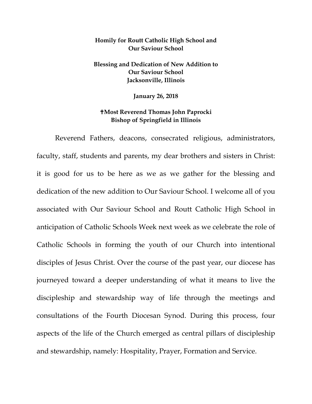## **Homily for Routt Catholic High School and Our Saviour School**

## **Blessing and Dedication of New Addition to Our Saviour School Jacksonville, Illinois**

**January 26, 2018**

## **Most Reverend Thomas John Paprocki Bishop of Springfield in Illinois**

Reverend Fathers, deacons, consecrated religious, administrators, faculty, staff, students and parents, my dear brothers and sisters in Christ: it is good for us to be here as we as we gather for the blessing and dedication of the new addition to Our Saviour School. I welcome all of you associated with Our Saviour School and Routt Catholic High School in anticipation of Catholic Schools Week next week as we celebrate the role of Catholic Schools in forming the youth of our Church into intentional disciples of Jesus Christ. Over the course of the past year, our diocese has journeyed toward a deeper understanding of what it means to live the discipleship and stewardship way of life through the meetings and consultations of the Fourth Diocesan Synod. During this process, four aspects of the life of the Church emerged as central pillars of discipleship and stewardship, namely: Hospitality, Prayer, Formation and Service.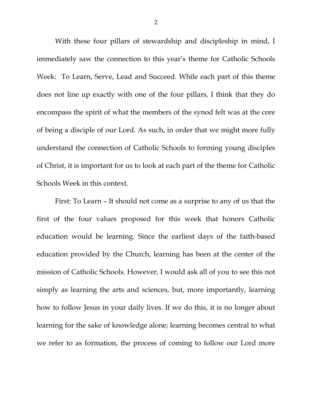With these four pillars of stewardship and discipleship in mind, I immediately saw the connection to this year's theme for Catholic Schools Week: To Learn, Serve, Lead and Succeed. While each part of this theme does not line up exactly with one of the four pillars, I think that they do encompass the spirit of what the members of the synod felt was at the core of being a disciple of our Lord. As such, in order that we might more fully understand the connection of Catholic Schools to forming young disciples of Christ, it is important for us to look at each part of the theme for Catholic Schools Week in this context.

First: To Learn – It should not come as a surprise to any of us that the first of the four values proposed for this week that honors Catholic education would be learning. Since the earliest days of the faith-based education provided by the Church, learning has been at the center of the mission of Catholic Schools. However, I would ask all of you to see this not simply as learning the arts and sciences, but, more importantly, learning how to follow Jesus in your daily lives. If we do this, it is no longer about learning for the sake of knowledge alone; learning becomes central to what we refer to as formation, the process of coming to follow our Lord more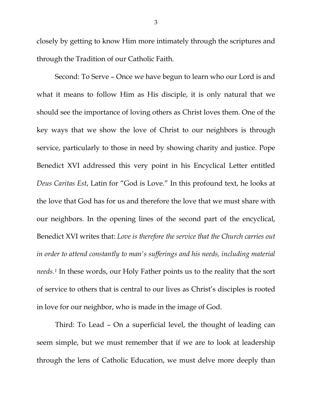closely by getting to know Him more intimately through the scriptures and through the Tradition of our Catholic Faith.

Second: To Serve – Once we have begun to learn who our Lord is and what it means to follow Him as His disciple, it is only natural that we should see the importance of loving others as Christ loves them. One of the key ways that we show the love of Christ to our neighbors is through service, particularly to those in need by showing charity and justice. Pope Benedict XVI addressed this very point in his Encyclical Letter entitled *Deus Caritas Est*, Latin for "God is Love." In this profound text, he looks at the love that God has for us and therefore the love that we must share with our neighbors. In the opening lines of the second part of the encyclical, Benedict XVI writes that: *Love is therefore the service that the Church carries out in order to attend constantly to man's sufferings and his needs, including material needs.[1](#page-4-0)* In these words, our Holy Father points us to the reality that the sort of service to others that is central to our lives as Christ's disciples is rooted in love for our neighbor, who is made in the image of God.

Third: To Lead – On a superficial level, the thought of leading can seem simple, but we must remember that if we are to look at leadership through the lens of Catholic Education, we must delve more deeply than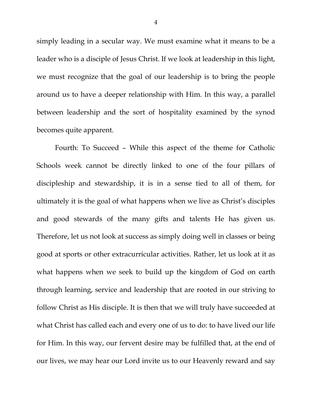simply leading in a secular way. We must examine what it means to be a leader who is a disciple of Jesus Christ. If we look at leadership in this light, we must recognize that the goal of our leadership is to bring the people around us to have a deeper relationship with Him. In this way, a parallel between leadership and the sort of hospitality examined by the synod becomes quite apparent.

Fourth: To Succeed – While this aspect of the theme for Catholic Schools week cannot be directly linked to one of the four pillars of discipleship and stewardship, it is in a sense tied to all of them, for ultimately it is the goal of what happens when we live as Christ's disciples and good stewards of the many gifts and talents He has given us. Therefore, let us not look at success as simply doing well in classes or being good at sports or other extracurricular activities. Rather, let us look at it as what happens when we seek to build up the kingdom of God on earth through learning, service and leadership that are rooted in our striving to follow Christ as His disciple. It is then that we will truly have succeeded at what Christ has called each and every one of us to do: to have lived our life for Him. In this way, our fervent desire may be fulfilled that, at the end of our lives, we may hear our Lord invite us to our Heavenly reward and say

4